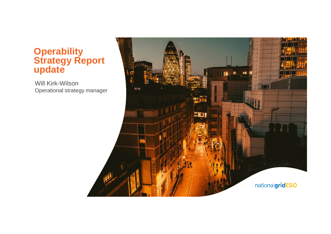### **Operability Strategy Report update**

Will Kirk-Wilson Operational strategy manager

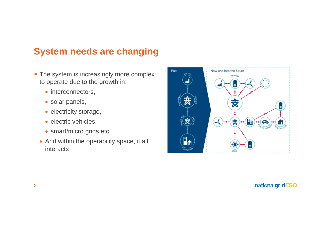# **System needs are changing**

- The system is increasingly more complex to operate due to the growth in:
	- interconnectors,
	- solar panels,
	- electricity storage,
	- · electric vehicles,
	- smart/micro grids etc.
	- And within the operability space, it all interacts…

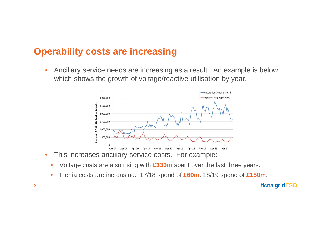## **Operability costs are increasing**

• Ancillary service needs are increasing as a result. An example is below which shows the growth of voltage/reactive utilisation by year.



- This increases anciliary service costs. For example:
	- Voltage costs are also rising with **£330m** spent over the last three years.
	- Inertia costs are increasing. 17/18 spend of **£60m**. 18/19 spend of **£150m**.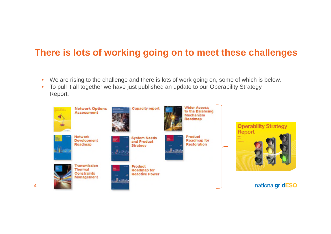# **There is lots of working going on to meet these challenges**

- We are rising to the challenge and there is lots of work going on, some of which is below.
- To pull it all together we have just published an update to our Operability Strategy Report.

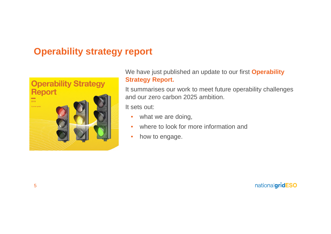# **Operability strategy report**



We have just published an update to our first **Operability Strategy Report.**

It summarises our work to meet future operability challenges and our zero carbon 2025 ambition.

It sets out:

- what we are doing,
- where to look for more information and
- how to engage.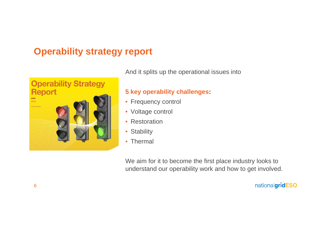# **Operability strategy report**



And it splits up the operational issues into

#### **5 key operability challenges:**

- Frequency control
- Voltage control
- Restoration
- Stability
- Thermal

We aim for it to become the first place industry looks to understand our operability work and how to get involved.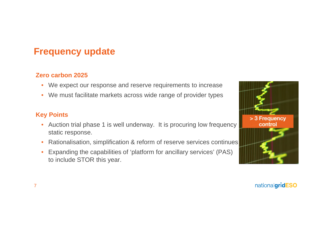# **Frequency update**

#### **Zero carbon 2025**

- We expect our response and reserve requirements to increase
- We must facilitate markets across wide range of provider types

### **Key Points**

- Auction trial phase 1 is well underway. It is procuring low frequency static response.
- Rationalisation, simplification & reform of reserve services continues
- Expanding the capabilities of 'platform for ancillary services' (PAS) to include STOR this year.

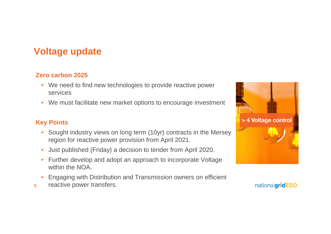# **Voltage update**

#### **Zero carbon 2025**

- We need to find new technologies to provide reactive power services
- We must facilitate new market options to encourage investment

### **Key Points**

- Sought industry views on long term (10yr) contracts in the Mersey region for reactive power provision from April 2021.
- Just published (Friday) a decision to tender from April 2020.
- Further develop and adopt an approach to incorporate Voltage within the NOA.
- Engaging with Distribution and Transmission owners on efficient
- 8 reactive power transfers.

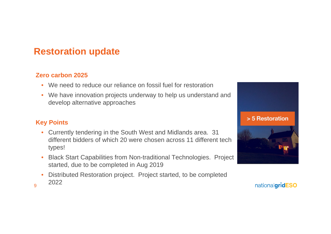## **Restoration update**

#### **Zero carbon 2025**

- We need to reduce our reliance on fossil fuel for restoration
- We have innovation projects underway to help us understand and develop alternative approaches

### **Key Points**

9

- Currently tendering in the South West and Midlands area. 31 different bidders of which 20 were chosen across 11 different tech types!
- Black Start Capabilities from Non-traditional Technologies. Project started, due to be completed in Aug 2019
- Distributed Restoration project. Project started, to be completed 2022

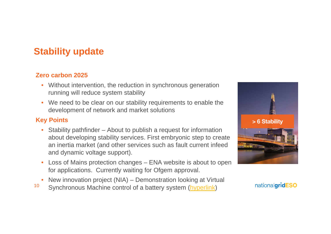# **Stability update**

#### **Zero carbon 2025**

- Without intervention, the reduction in synchronous generation running will reduce system stability
- We need to be clear on our stability requirements to enable the development of network and market solutions

### **Key Points**

- Stability pathfinder About to publish a request for information about developing stability services. First embryonic step to create an inertia market (and other services such as fault current infeed and dynamic voltage support).
- Loss of Mains protection changes ENA website is about to open for applications. Currently waiting for Ofgem approval.
- New innovation project (NIA) Demonstration looking at Virtual
- 10 Synchronous Machine control of a battery system (hyperlink)

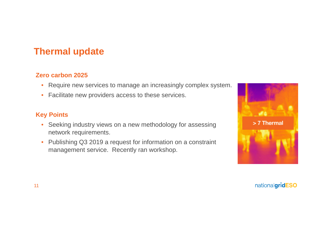## **Thermal update**

#### **Zero carbon 2025**

- Require new services to manage an increasingly complex system.
- Facilitate new providers access to these services.

### **Key Points**

- Seeking industry views on a new methodology for assessing network requirements.
- Publishing Q3 2019 a request for information on a constraint management service. Recently ran workshop.

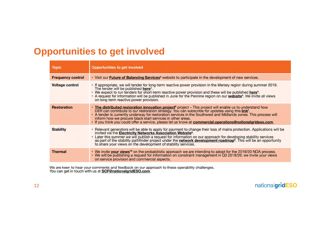## **Opportunities to get involved**

| <b>Topic</b>             | Opportunities to get involved                                                                                                                                                                                                                                                                                                                                                                                                                                                                                                         |
|--------------------------|---------------------------------------------------------------------------------------------------------------------------------------------------------------------------------------------------------------------------------------------------------------------------------------------------------------------------------------------------------------------------------------------------------------------------------------------------------------------------------------------------------------------------------------|
| <b>Frequency control</b> | · Visit our Future of Balancing Services <sup>2</sup> website to participate in the development of new services.                                                                                                                                                                                                                                                                                                                                                                                                                      |
| <b>Voltage control</b>   | • If appropriate, we will tender for long-term reactive power provision in the Mersey region during summer 2019.<br>The tender will be published here <sup>3</sup> .<br>• We expect to run tenders for short-term reactive power provision and these will be published here <sup>4</sup> .<br>. A request for information will be published in June for the Pennine region on our website <sup>5</sup> . We invite all views<br>on long-term reactive power provision.                                                                |
| <b>Restoration</b>       | · The distributed restoration innovation project <sup>6</sup> project - This project will enable us to understand how<br>DER can contribute to our restoration strategy. You can subscribe for updates using this link <sup>7</sup> .<br>• A tender is currently underway for restoration services in the Southwest and Midlands zones. This process will<br>inform how we procure black start services in other areas.<br>· If you think you could offer a service, please let us know at commercial.operations@nationalgrideso.com. |
| <b>Stability</b>         | . Relevant generators will be able to apply for payment to change their loss of mains protection. Applications will be<br>invited via the Electricity Networks Association Website <sup>8</sup> .<br>• Later this summer we will publish a request for information on our approach for developing stability services<br>as part of the stability pathfinder project under the network development roadmap <sup>9</sup> . This will be an opportunity<br>to share your views on the development of stability services.                 |
| <b>Thermal</b>           | • We invite your views <sup>10</sup> on the probabilistic approach we are intending to adopt for the 2019/20 NOA process.<br>• We will be publishing a request for information on constraint management in Q3 2019/20; we invite your views<br>on service provision and commercial aspects.                                                                                                                                                                                                                                           |

We are keen to hear your comments and feedback on our approach to these operability challenges.<br>You can get in touch with us at **SOF@nationalgridESO.com**.